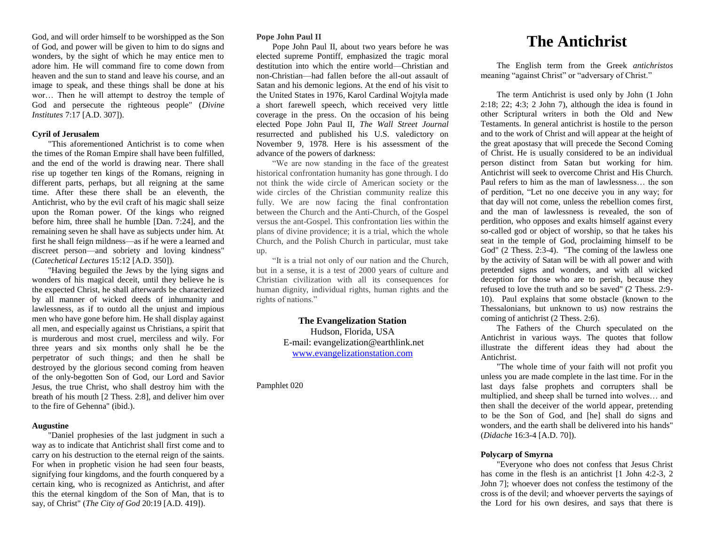God, and will order himself to be worshipped as the Son of God, and power will be given to him to do signs and wonders, by the sight of which he may entice men to adore him. He will command fire to come down from heaven and the sun to stand and leave his course, and an image to speak, and these things shall be done at his wor… Then he will attempt to destroy the temple of God and persecute the righteous people" (*Divine Institutes* 7:17 [A.D. 307]).

### **Cyril of Jerusalem**

"This aforementioned Antichrist is to come when the times of the Roman Empire shall have been fulfilled, and the end of the world is drawing near. There shall rise up together ten kings of the Romans, reigning in different parts, perhaps, but all reigning at the same time. After these there shall be an eleventh, the Antichrist, who by the evil craft of his magic shall seize upon the Roman power. Of the kings who reigned before him, three shall he humble [Dan. 7:24], and the remaining seven he shall have as subjects under him. At first he shall feign mildness—as if he were a learned and discreet person—and sobriety and loving kindness" (*Catechetical Lectures* 15:12 [A.D. 350]).

"Having beguiled the Jews by the lying signs and wonders of his magical deceit, until they believe he is the expected Christ, he shall afterwards be characterized by all manner of wicked deeds of inhumanity and lawlessness, as if to outdo all the unjust and impious men who have gone before him. He shall display against all men, and especially against us Christians, a spirit that is murderous and most cruel, merciless and wily. For three years and six months only shall he be the perpetrator of such things; and then he shall be destroyed by the glorious second coming from heaven of the only-begotten Son of God, our Lord and Savior Jesus, the true Christ, who shall destroy him with the breath of his mouth [2 Thess. 2:8], and deliver him over to the fire of Gehenna" (ibid.).

#### **Augustine**

"Daniel prophesies of the last judgment in such a way as to indicate that Antichrist shall first come and to carry on his destruction to the eternal reign of the saints. For when in prophetic vision he had seen four beasts, signifying four kingdoms, and the fourth conquered by a certain king, who is recognized as Antichrist, and after this the eternal kingdom of the Son of Man, that is to say, of Christ" (*The City of God* 20:19 [A.D. 419]).

## **Pope John Paul II**

Pope John Paul II, about two years before he was elected supreme Pontiff, emphasized the tragic moral destitution into which the entire world—Christian and non-Christian—had fallen before the all-out assault of Satan and his demonic legions. At the end of his visit to the United States in 1976, Karol Cardinal Wojtyla made a short farewell speech, which received very little coverage in the press. On the occasion of his being elected Pope John Paul II, *The Wall Street Journal*  resurrected and published his U.S. valedictory on November 9, 1978. Here is his assessment of the advance of the powers of darkness:

"We are now standing in the face of the greatest historical confrontation humanity has gone through. I do not think the wide circle of American society or the wide circles of the Christian community realize this fully. We are now facing the final confrontation between the Church and the Anti-Church, of the Gospel versus the ant-Gospel. This confrontation lies within the plans of divine providence; it is a trial, which the whole Church, and the Polish Church in particular, must take up.

"It is a trial not only of our nation and the Church, but in a sense, it is a test of 2000 years of culture and Christian civilization with all its consequences for human dignity, individual rights, human rights and the rights of nations."

> **The Evangelization Station** Hudson, Florida, USA E-mail: evangelization@earthlink.net [www.evangelizationstation.com](http://www.pjpiisoe.org/)

Pamphlet 020

# **The Antichrist**

The English term from the Greek *antichristos* meaning "against Christ" or "adversary of Christ."

The term Antichrist is used only by John (1 John 2:18; 22; 4:3; 2 John 7), although the idea is found in other Scriptural writers in both the Old and New Testaments. In general antichrist is hostile to the person and to the work of Christ and will appear at the height of the great apostasy that will precede the Second Coming of Christ. He is usually considered to be an individual person distinct from Satan but working for him. Antichrist will seek to overcome Christ and His Church. Paul refers to him as the man of lawlessness… the son of perdition, "Let no one deceive you in any way; for that day will not come, unless the rebellion comes first, and the man of lawlessness is revealed, the son of perdition, who opposes and exalts himself against every so-called god or object of worship, so that he takes his seat in the temple of God, proclaiming himself to be God" (2 Thess. 2:3-4). "The coming of the lawless one by the activity of Satan will be with all power and with pretended signs and wonders, and with all wicked deception for those who are to perish, because they refused to love the truth and so be saved" (2 Thess. 2:9- 10). Paul explains that some obstacle (known to the Thessalonians, but unknown to us) now restrains the coming of antichrist (2 Thess. 2:6).

The Fathers of the Church speculated on the Antichrist in various ways. The quotes that follow illustrate the different ideas they had about the Antichrist.

"The whole time of your faith will not profit you unless you are made complete in the last time. For in the last days false prophets and corrupters shall be multiplied, and sheep shall be turned into wolves… and then shall the deceiver of the world appear, pretending to be the Son of God, and [he] shall do signs and wonders, and the earth shall be delivered into his hands" (*Didache* 16:3-4 [A.D. 70]).

#### **Polycarp of Smyrna**

"Everyone who does not confess that Jesus Christ has come in the flesh is an antichrist [1 John 4:2-3, 2 John 7]; whoever does not confess the testimony of the cross is of the devil; and whoever perverts the sayings of the Lord for his own desires, and says that there is